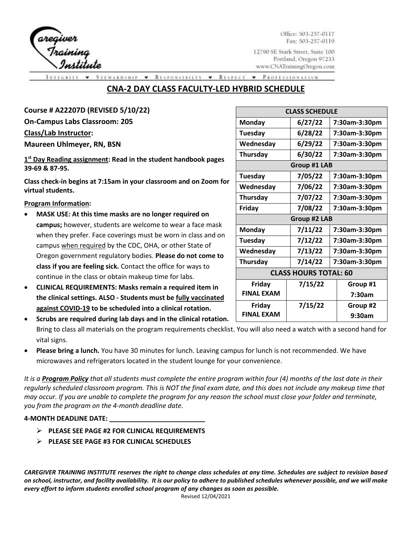reqiver<br>Training<br>Institu

Office: 503-257-0117 Fax: 503-257-0119

12790 SE Stark Street, Suite 100 Portland, Oregon 97233 www.CNATrainingOregon.com

WARDSHIP RESPONSIBILTY **\*** RESPECT **v** PROTESSIONALISM  $\bullet$ 

# **CNA-2 DAY CLASS FACULTY-LED HYBRID SCHEDULE**

| Course # A22207D (REVISED 5/10/22)                                                                                         | <b>CLASS SCHEDULE</b>        |                     |               |  |
|----------------------------------------------------------------------------------------------------------------------------|------------------------------|---------------------|---------------|--|
| <b>On-Campus Labs Classroom: 205</b>                                                                                       | <b>Monday</b>                | 6/27/22             | 7:30am-3:30pm |  |
| Class/Lab Instructor:                                                                                                      | Tuesday                      | 6/28/22             | 7:30am-3:30pm |  |
| <b>Maureen Uhlmeyer, RN, BSN</b>                                                                                           | Wednesday                    | 6/29/22             | 7:30am-3:30pm |  |
| 1st Day Reading assignment: Read in the student handbook pages                                                             | Thursday                     | 6/30/22             | 7:30am-3:30pm |  |
| 39-69 & 87-95.                                                                                                             | Group #1 LAB                 |                     |               |  |
| Class check-in begins at 7:15am in your classroom and on Zoom for                                                          | Tuesday                      | 7/05/22             | 7:30am-3:30pm |  |
| virtual students.                                                                                                          | Wednesday                    | 7/06/22             | 7:30am-3:30pm |  |
|                                                                                                                            | Thursday                     | 7/07/22             | 7:30am-3:30pm |  |
| <b>Program Information:</b>                                                                                                | Friday                       | 7/08/22             | 7:30am-3:30pm |  |
| MASK USE: At this time masks are no longer required on<br>$\bullet$                                                        |                              | <b>Group #2 LAB</b> |               |  |
| campus; however, students are welcome to wear a face mask<br>when they prefer. Face coverings must be worn in class and on | Monday                       | 7/11/22             | 7:30am-3:30pm |  |
| campus when required by the CDC, OHA, or other State of                                                                    | Tuesday                      | 7/12/22             | 7:30am-3:30pm |  |
| Oregon government regulatory bodies. Please do not come to                                                                 | Wednesday                    | 7/13/22             | 7:30am-3:30pm |  |
| class if you are feeling sick. Contact the office for ways to                                                              | Thursday                     | 7/14/22             | 7:30am-3:30pm |  |
| continue in the class or obtain makeup time for labs.                                                                      | <b>CLASS HOURS TOTAL: 60</b> |                     |               |  |
| <b>CLINICAL REQUIREMENTS: Masks remain a required item in</b><br>$\bullet$                                                 | Friday                       | 7/15/22             | Group #1      |  |
| the clinical settings. ALSO - Students must be fully vaccinated                                                            | <b>FINAL EXAM</b>            |                     | 7:30am        |  |
| against COVID-19 to be scheduled into a clinical rotation.                                                                 | Friday                       | 7/15/22             | Group #2      |  |
| Scrubs are required during lab days and in the clinical rotation.                                                          | <b>FINAL EXAM</b>            |                     | 9:30am        |  |

Bring to class all materials on the program requirements checklist. You will also need a watch with a second hand for vital signs.

• **Please bring a lunch.** You have 30 minutes for lunch. Leaving campus for lunch is not recommended. We have microwaves and refrigerators located in the student lounge for your convenience.

*It is a Program Policy that all students must complete the entire program within four (4) months of the last date in their regularly scheduled classroom program. This is NOT the final exam date, and this does not include any makeup time that may occur. If you are unable to complete the program for any reason the school must close your folder and terminate, you from the program on the 4-month deadline date.*

### **4-MONTH DEADLINE DATE: \_\_\_\_\_\_\_\_\_\_\_\_\_\_\_\_\_\_\_\_\_\_\_\_\_\_**

- ➢ **PLEASE SEE PAGE #2 FOR CLINICAL REQUIREMENTS**
- ➢ **PLEASE SEE PAGE #3 FOR CLINICAL SCHEDULES**

*CAREGIVER TRAINING INSTITUTE reserves the right to change class schedules at any time. Schedules are subject to revision based on school, instructor, and facility availability. It is our policy to adhere to published schedules whenever possible, and we will make every effort to inform students enrolled school program of any changes as soon as possible.*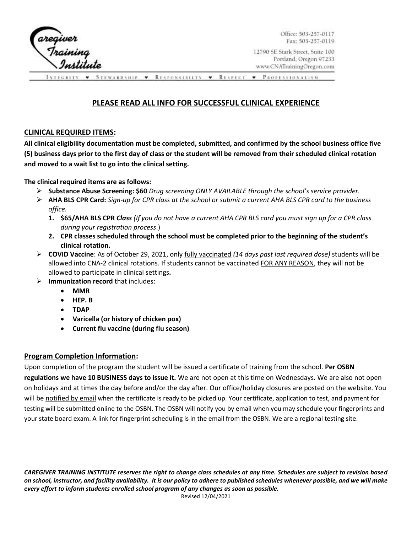

Office: 503-257-0117 Fax: 503-257-0119

12790 SE Stark Street, Suite 100 Portland, Oregon 97233 www.CNATrainingOregon.com

STEWARDSHIP • RESPONSIBILTY • RESPECT **v** PROTESSIONALISM

## **PLEASE READ ALL INFO FOR SUCCESSFUL CLINICAL EXPERIENCE**

## **CLINICAL REQUIRED ITEMS:**

**All clinical eligibility documentation must be completed, submitted, and confirmed by the school business office five (5) business days prior to the first day of class or the student will be removed from their scheduled clinical rotation and moved to a wait list to go into the clinical setting.** 

**The clinical required items are as follows:** 

- ➢ **Substance Abuse Screening: \$60** *Drug screening ONLY AVAILABLE through the school's service provider.*
- ➢ **AHA BLS CPR Card:** *Sign-up for CPR class at the school or submit a current AHA BLS CPR card to the business office.* 
	- **1. \$65/AHA BLS CPR** *Class (If you do not have a current AHA CPR BLS card you must sign up for a CPR class during your registration process*.)
	- **2. CPR classes scheduled through the school must be completed prior to the beginning of the student's clinical rotation.**
- ➢ **COVID Vaccine**: As of October 29, 2021, only fully vaccinated *(14 days past last required dose)* students will be allowed into CNA-2 clinical rotations. If students cannot be vaccinated FOR ANY REASON, they will not be allowed to participate in clinical settings**.**
- ➢ **Immunization record** that includes:
	- **MMR**
	- **HEP. B**
	- **TDAP**
	- **Varicella (or history of chicken pox)**
	- **Current flu vaccine (during flu season)**

## **Program Completion Information:**

Upon completion of the program the student will be issued a certificate of training from the school. **Per OSBN regulations we have 10 BUSINESS days to issue it.** We are not open at this time on Wednesdays. We are also not open on holidays and at times the day before and/or the day after. Our office/holiday closures are posted on the website. You will be notified by email when the certificate is ready to be picked up. Your certificate, application to test, and payment for testing will be submitted online to the OSBN. The OSBN will notify you by email when you may schedule your fingerprints and your state board exam. A link for fingerprint scheduling is in the email from the OSBN. We are a regional testing site.

*CAREGIVER TRAINING INSTITUTE reserves the right to change class schedules at any time. Schedules are subject to revision based on school, instructor, and facility availability. It is our policy to adhere to published schedules whenever possible, and we will make every effort to inform students enrolled school program of any changes as soon as possible.*  Revised 12/04/2021